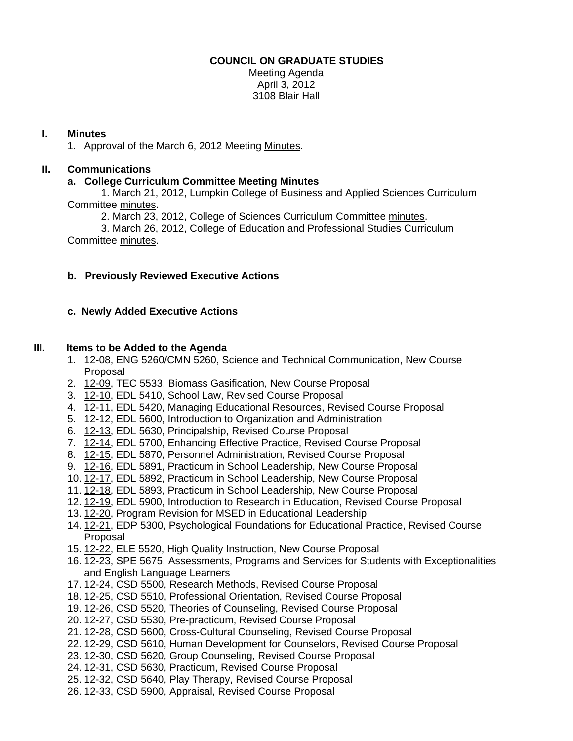### **COUNCIL ON GRADUATE STUDIES**

Meeting Agenda April 3, 2012 3108 Blair Hall

### **I. Minutes**

1. Approval of the March 6, 2012 Meetin[g Minutes.](http://castle.eiu.edu/eiucgs/currentminutes/Minutes3-6-12.pdf) 

# **II. Communications**

## **a. College Curriculum Committee Meeting Minutes**

 1. March 21, 2012, Lumpkin College of Business and Applied Sciences Curriculum Committe[e minutes.](http://castle.eiu.edu/~eiucgs/currentagendaitems/LCBASMin3-21-12.pdf) 

2. March 23, 2012, College of Sciences Curriculum Committe[e minutes.](http://castle.eiu.edu/~eiucgs/currentagendaitems/COSMin3-23-12.pdf) 

 3. March 26, 2012, College of Education and Professional Studies Curriculum Committe[e minutes.](http://castle.eiu.edu/~eiucgs/currentagendaitems/CEPSMin3-26-12.pdf) 

# **b. Previously Reviewed Executive Actions**

# **c. Newly Added Executive Actions**

## **III. Items to be Added to the Agenda**

- 1. [12-08, E](http://castle.eiu.edu/~eiucgs/currentagendaitems/agenda12-08.pdf)NG 5260/CMN 5260, Science and Technical Communication, New Course Proposal
- 2. [12-09, T](http://castle.eiu.edu/~eiucgs/currentagendaitems/agenda12-09.pdf)EC 5533, Biomass Gasification, New Course Proposal
- 3. [12-10, E](http://castle.eiu.edu/~eiucgs/currentagendaitems/agenda12-10.pdf)DL 5410, School Law, Revised Course Proposal
- 4. [12-11, E](http://castle.eiu.edu/~eiucgs/currentagendaitems/agenda12-11.pdf)DL 5420, Managing Educational Resources, Revised Course Proposal
- 5. [12-12, E](http://castle.eiu.edu/~eiucgs/currentagendaitems/agenda12-12.pdf)DL 5600, Introduction to Organization and Administration
- 6. [12-13,](http://castle.eiu.edu/~eiucgs/currentagendaitems/agenda12-13.pdf) EDL 5630, Principalship, Revised Course Proposal
- 7. [12-14, E](http://castle.eiu.edu/~eiucgs/currentagendaitems/agenda12-14.pdf)DL 5700, Enhancing Effective Practice, Revised Course Proposal
- 8. [12-15, E](http://castle.eiu.edu/~eiucgs/currentagendaitems/agenda12-15.pdf)DL 5870, Personnel Administration, Revised Course Proposal
- 9. [12-16, E](http://castle.eiu.edu/~eiucgs/currentagendaitems/agenda12-16.pdf)DL 5891, Practicum in School Leadership, New Course Proposal
- 10. [12-17,](http://castle.eiu.edu/~eiucgs/currentagendaitems/agenda12-17.pdf) EDL 5892, Practicum in School Leadership, New Course Proposal
- 11. [12-18,](http://castle.eiu.edu/~eiucgs/currentagendaitems/agenda12-18.pdf) EDL 5893, Practicum in School Leadership, New Course Proposal
- 12. [12-19, E](http://castle.eiu.edu/~eiucgs/currentagendaitems/agenda12-19.pdf)DL 5900, Introduction to Research in Education, Revised Course Proposal
- 13. [12-20,](http://castle.eiu.edu/~eiucgs/currentagendaitems/agenda12-20.pdf) Program Revision for MSED in Educational Leadership
- 14. [12-21,](http://castle.eiu.edu/~eiucgs/currentagendaitems/agenda12-21.pdf) EDP 5300, Psychological Foundations for Educational Practice, Revised Course Proposal
- 15. [12-22, E](http://castle.eiu.edu/~eiucgs/currentagendaitems/agenda12-22.pdf)LE 5520, High Quality Instruction, New Course Proposal
- 16[. 12-23,](http://castle.eiu.edu/~eiucgs/currentagendaitems/agenda12-23.pdf) SPE 5675, Assessments, Programs and Services for Students with Exceptionalities and English Language Learners
- 17. 12-24, CSD 5500, Research Methods, Revised Course Proposal
- 18. 12-25, CSD 5510, Professional Orientation, Revised Course Proposal
- 19. 12-26, CSD 5520, Theories of Counseling, Revised Course Proposal
- 20. 12-27, CSD 5530, Pre-practicum, Revised Course Proposal
- 21. 12-28, CSD 5600, Cross-Cultural Counseling, Revised Course Proposal
- 22. 12-29, CSD 5610, Human Development for Counselors, Revised Course Proposal
- 23. 12-30, CSD 5620, Group Counseling, Revised Course Proposal
- 24. 12-31, CSD 5630, Practicum, Revised Course Proposal
- 25. 12-32, CSD 5640, Play Therapy, Revised Course Proposal
- 26. 12-33, CSD 5900, Appraisal, Revised Course Proposal